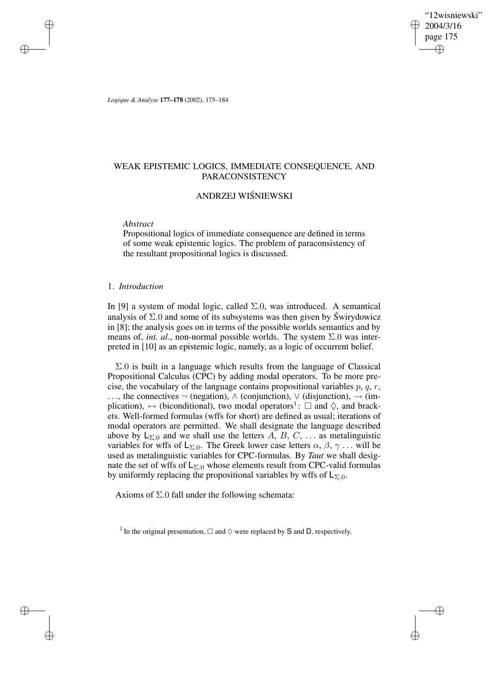"12wisniewski" 2004/3/16 page 175 ✐ ✐

✐

✐

*Logique & Analyse* **177–178** (2002), 175–184

## WEAK EPISTEMIC LOGICS, IMMEDIATE CONSEQUENCE, AND PARACONSISTENCY

# ANDRZEJ WISNIEWSKI ´

#### *Abstract*

✐

✐

✐

✐

Propositional logics of immediate consequence are defined in terms of some weak epistemic logics. The problem of paraconsistency of the resultant propositional logics is discussed.

### 1. *Introduction*

In [9] a system of modal logic, called  $\Sigma.0$ , was introduced. A semantical analysis of  $\Sigma$ .0 and some of its subsystems was then given by Swirydowicz in [8]; the analysis goes on in terms of the possible worlds semantics and by means of, *int. al.*, non-normal possible worlds. The system  $\Sigma.0$  was interpreted in [10] as an epistemic logic, namely, as a logic of occurrent belief.

Σ.0 is built in a language which results from the language of Classical Propositional Calculus (CPC) by adding modal operators. To be more precise, the vocabulary of the language contains propositional variables  $p, q, r$ , ..., the connectives  $\neg$  (negation),  $\wedge$  (conjunction),  $\vee$  (disjunction),  $\rightarrow$  (implication),  $\leftrightarrow$  (biconditional), two modal operators<sup>1</sup>:  $\Box$  and  $\Diamond$ , and brackets. Well-formed formulas (wffs for short) are defined as usual; iterations of modal operators are permitted. We shall designate the language described above by  $L_{\Sigma,0}$  and we shall use the letters A, B, C, ... as metalinguistic variables for wffs of  $L_{\Sigma,0}$ . The Greek lower case letters  $\alpha, \beta, \gamma$ ... will be used as metalinguistic variables for CPC-formulas. By *Taut* we shall designate the set of wffs of  $L_{\Sigma,0}$  whose elements result from CPC-valid formulas by uniformly replacing the propositional variables by wffs of  $L_{\Sigma,0}$ .

Axioms of  $\Sigma$ .0 fall under the following schemata:

<sup>1</sup> In the original presentation,  $\Box$  and  $\Diamond$  were replaced by S and D, respectively.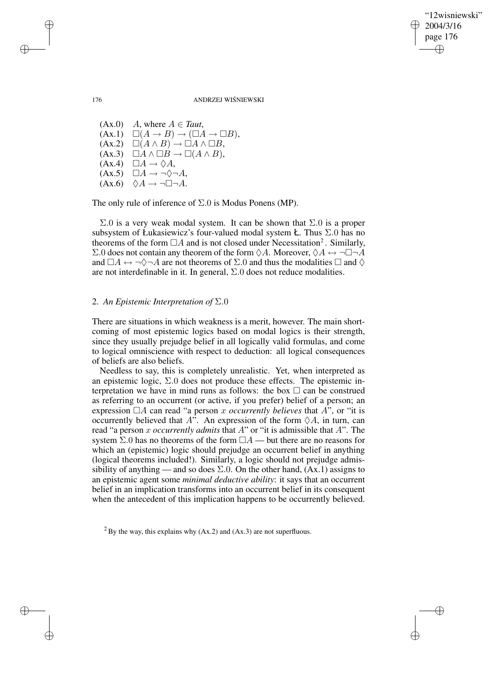"12wisniewski" 2004/3/16 page 176 ✐ ✐

✐

✐

176 ANDRZEJ WIŚNIEWSKI

 $(Ax.0)$  *A*, where  $A \in Taut$ ,  $(Ax.1) \quad \Box(A \rightarrow B) \rightarrow (\Box A \rightarrow \Box B),$  $(Ax.2) \quad \Box(A \land B) \rightarrow \Box A \land \Box B,$  $(Ax.3) \quad \Box A \land \Box B \rightarrow \Box (A \land B),$  $(Ax.4) \square A \rightarrow \Diamond A$ ,  $(Ax.5)$   $\Box A \rightarrow \neg \Diamond \neg A$ ,  $(Ax.6)$   $\Diamond A \rightarrow \neg \Box \neg A$ .

The only rule of inference of  $\Sigma$ .0 is Modus Ponens (MP).

 $Σ.0$  is a very weak modal system. It can be shown that  $Σ.0$  is a proper subsystem of Łukasiewicz's four-valued modal system Ł. Thus  $\Sigma$ .0 has no theorems of the form  $\Box A$  and is not closed under Necessitation<sup>2</sup>. Similarly,  $\Sigma.0$  does not contain any theorem of the form  $\Diamond A$ . Moreover,  $\Diamond A \leftrightarrow \neg \Box \neg A$ and  $\Box A \leftrightarrow \neg \Diamond \neg A$  are not theorems of  $\Sigma.0$  and thus the modalities  $\Box$  and  $\Diamond$ are not interdefinable in it. In general,  $\Sigma.0$  does not reduce modalities.

## 2. *An Epistemic Interpretation of* Σ.0

There are situations in which weakness is a merit, however. The main shortcoming of most epistemic logics based on modal logics is their strength, since they usually prejudge belief in all logically valid formulas, and come to logical omniscience with respect to deduction: all logical consequences of beliefs are also beliefs.

Needless to say, this is completely unrealistic. Yet, when interpreted as an epistemic logic,  $\Sigma.0$  does not produce these effects. The epistemic interpretation we have in mind runs as follows: the box  $\Box$  can be construed as referring to an occurrent (or active, if you prefer) belief of a person; an expression  $\Box A$  can read "a person x *occurrently believes* that A", or "it is occurrently believed that  $A^{\hat{\nu}}$ . An expression of the form  $\Diamond A$ , in turn, can read "a person x *occurrently admits* that A" or "it is admissible that A". The system  $\Sigma$ .0 has no theorems of the form  $\Box A$  — but there are no reasons for which an (epistemic) logic should prejudge an occurrent belief in anything (logical theorems included!). Similarly, a logic should not prejudge admissibility of anything — and so does  $\Sigma$ .0. On the other hand,  $(Ax.1)$  assigns to an epistemic agent some *minimal deductive ability*: it says that an occurrent belief in an implication transforms into an occurrent belief in its consequent when the antecedent of this implication happens to be occurrently believed.

 $^{2}$  By the way, this explains why (Ax.2) and (Ax.3) are not superfluous.

✐

✐

✐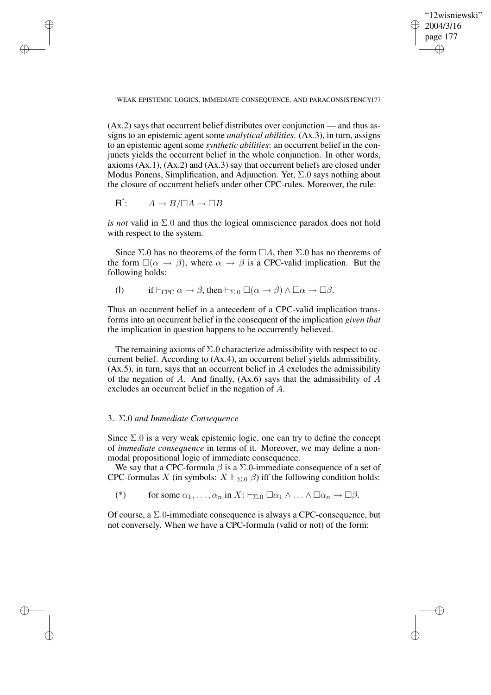"12wisniewski" 2004/3/16 page 177 ✐ ✐

✐

✐

WEAK EPISTEMIC LOGICS, IMMEDIATE CONSEQUENCE, AND PARACONSISTENCY177

(Ax.2) says that occurrent belief distributes over conjunction — and thus assigns to an epistemic agent some *analytical abilities*. (Ax.3), in turn, assigns to an epistemic agent some *synthetic abilities*: an occurrent belief in the conjuncts yields the occurrent belief in the whole conjunction. In other words, axioms  $(Ax.1)$ ,  $(Ax.2)$  and  $(Ax.3)$  say that occurrent beliefs are closed under Modus Ponens, Simplification, and Adjunction. Yet,  $\Sigma$ .0 says nothing about the closure of occurrent beliefs under other CPC-rules. Moreover, the rule:

$$
R^{\star}:\qquad A\to B/\Box A\to\Box B
$$

✐

✐

✐

✐

*is not* valid in Σ.0 and thus the logical omniscience paradox does not hold with respect to the system.

Since  $\Sigma$ .0 has no theorems of the form  $\Box A$ , then  $\Sigma$ .0 has no theorems of the form  $\square(\alpha \to \beta)$ , where  $\alpha \to \beta$  is a CPC-valid implication. But the following holds:

(I) if  $\vdash_{\text{CPC}} \alpha \to \beta$ , then  $\vdash_{\Sigma.0} \Box(\alpha \to \beta) \land \Box \alpha \to \Box \beta$ .

Thus an occurrent belief in a antecedent of a CPC-valid implication transforms into an occurrent belief in the consequent of the implication *given that* the implication in question happens to be occurrently believed.

The remaining axioms of  $\Sigma$ .0 characterize admissibility with respect to occurrent belief. According to (Ax.4), an occurrent belief yields admissibility.  $(Ax.5)$ , in turn, says that an occurrent belief in A excludes the admissibility of the negation of A. And finally,  $(Ax.6)$  says that the admissibility of A excludes an occurrent belief in the negation of A.

## 3. Σ.0 *and Immediate Consequence*

Since  $\Sigma$ .0 is a very weak epistemic logic, one can try to define the concept of *immediate consequence* in terms of it. Moreover, we may define a nonmodal propositional logic of immediate consequence.

We say that a CPC-formula  $\beta$  is a  $\Sigma$ .0-immediate consequence of a set of CPC-formulas X (in symbols:  $X \Vdash_{\Sigma,0} \beta$ ) iff the following condition holds:

(\*) for some  $\alpha_1, \ldots, \alpha_n$  in  $X: \vdash_{\Sigma,0} \Box \alpha_1 \land \ldots \land \Box \alpha_n \to \Box \beta$ .

Of course, a Σ.0-immediate consequence is always a CPC-consequence, but not conversely. When we have a CPC-formula (valid or not) of the form: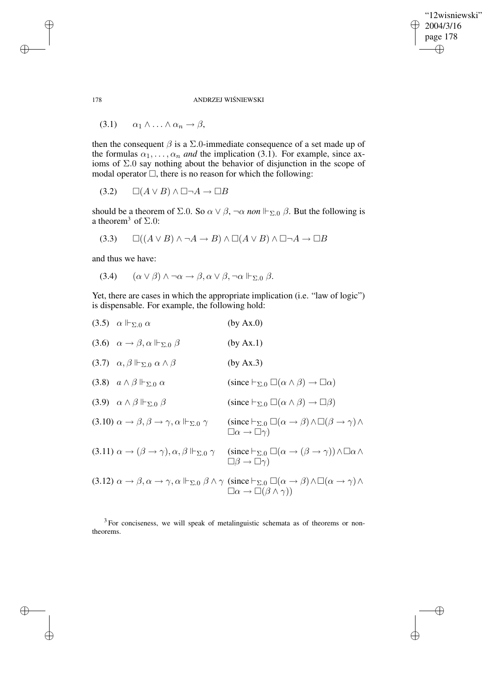"12wisniewski" 2004/3/16 page 178 ✐ ✐

 $\bigoplus$ 

✐

178 ANDRZEJ WIŚNIEWSKI

$$
(3.1) \qquad \alpha_1 \wedge \ldots \wedge \alpha_n \to \beta,
$$

then the consequent  $\beta$  is a  $\Sigma$ .0-immediate consequence of a set made up of the formulas  $\alpha_1, \ldots, \alpha_n$  *and* the implication (3.1). For example, since axioms of Σ.0 say nothing about the behavior of disjunction in the scope of modal operator  $\Box$ , there is no reason for which the following:

 $(3.2) \qquad \Box(A \vee B) \wedge \Box \neg A \rightarrow \Box B$ 

should be a theorem of  $\Sigma.0$ . So  $\alpha \vee \beta$ ,  $\neg \alpha$  *non*  $\Vdash_{\Sigma.0} \beta$ . But the following is a theorem<sup>3</sup> of  $\Sigma.0$ :

$$
(3.3) \qquad \Box((A \lor B) \land \neg A \to B) \land \Box(A \lor B) \land \Box \neg A \to \Box B
$$

and thus we have:

$$
(3.4) \qquad (\alpha \vee \beta) \wedge \neg \alpha \rightarrow \beta, \alpha \vee \beta, \neg \alpha \Vdash_{\Sigma,0} \beta.
$$

Yet, there are cases in which the appropriate implication (i.e. "law of logic") is dispensable. For example, the following hold:

| $(3.5)$ $\alpha \Vdash_{\Sigma,0} \alpha$                                                       | (by Ax.0)                                                                                                                                                                                                                                   |
|-------------------------------------------------------------------------------------------------|---------------------------------------------------------------------------------------------------------------------------------------------------------------------------------------------------------------------------------------------|
| (3.6) $\alpha \rightarrow \beta, \alpha \Vdash_{\Sigma,0} \beta$                                | (by Ax.1)                                                                                                                                                                                                                                   |
| $(3.7)$ $\alpha, \beta \Vdash_{\Sigma,0} \alpha \wedge \beta$                                   | (by Ax.3)                                                                                                                                                                                                                                   |
| $(3.8)$ $a \wedge \beta \Vdash_{\Sigma,0} \alpha$                                               | $(\text{since } \vdash_{\Sigma,0} \Box(\alpha \land \beta) \to \Box \alpha)$                                                                                                                                                                |
| $(3.9) \quad \alpha \wedge \beta \Vdash_{\Sigma,0} \beta$                                       | $(since \vdash_{\Sigma,0} \Box(\alpha \land \beta) \to \Box \beta)$                                                                                                                                                                         |
| $(3.10)$ $\alpha \rightarrow \beta, \beta \rightarrow \gamma, \alpha \Vdash_{\Sigma,0} \gamma$  | $(\text{since } \vdash_{\Sigma,0} \Box(\alpha \to \beta) \land \Box(\beta \to \gamma) \land$<br>$\Box \alpha \rightarrow \Box \gamma$                                                                                                       |
| $(3.11)\ \alpha \rightarrow (\beta \rightarrow \gamma), \alpha, \beta \Vdash_{\Sigma,0} \gamma$ | $(\operatorname{since} \vdash_{\Sigma,0} \Box(\alpha \to (\beta \to \gamma)) \land \Box \alpha \land$<br>$\Box \beta \rightarrow \Box \gamma$                                                                                               |
|                                                                                                 | (3.12) $\alpha \to \beta, \alpha \to \gamma, \alpha \Vdash_{\Sigma,0} \beta \wedge \gamma$ (since $\vdash_{\Sigma,0} \Box(\alpha \to \beta) \wedge \Box(\alpha \to \gamma) \wedge$<br>$\Box \alpha \rightarrow \Box (\beta \wedge \gamma))$ |

 $3$  For conciseness, we will speak of metalinguistic schemata as of theorems or nontheorems.

✐

✐

✐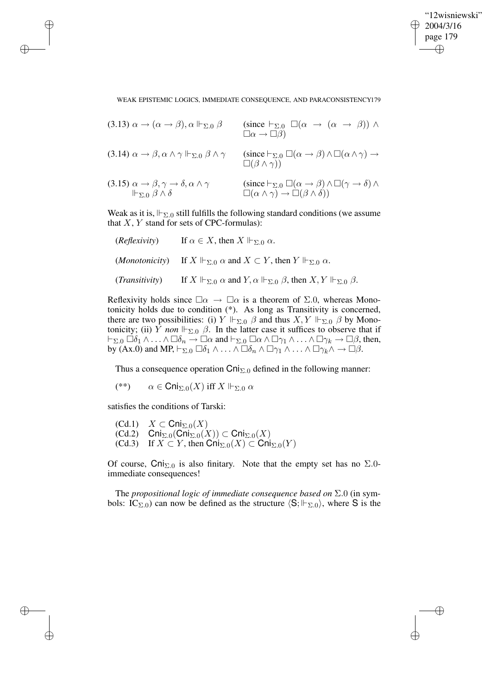✐

WEAK EPISTEMIC LOGICS, IMMEDIATE CONSEQUENCE, AND PARACONSISTENCY179

| $(3.13)$ $\alpha \rightarrow (\alpha \rightarrow \beta), \alpha \Vdash_{\Sigma,0} \beta$                                   | (since $\vdash_{\Sigma,0} \Box(\alpha \rightarrow (\alpha \rightarrow \beta)) \land$<br>$\Box \alpha \rightarrow \Box \beta$                                 |
|----------------------------------------------------------------------------------------------------------------------------|--------------------------------------------------------------------------------------------------------------------------------------------------------------|
| $(3.14)$ $\alpha \rightarrow \beta, \alpha \wedge \gamma \Vdash_{\Sigma,0} \beta \wedge \gamma$                            | $(\operatorname{since} \vdash_{\Sigma,0} \Box(\alpha \to \beta) \land \Box(\alpha \land \gamma) \to$<br>$\square(\beta \wedge \gamma))$                      |
| $(3.15) \alpha \rightarrow \beta, \gamma \rightarrow \delta, \alpha \wedge \gamma$<br>$\Vdash_{\Sigma,0}\beta\wedge\delta$ | (since $\vdash_{\Sigma.0} \Box(\alpha \to \beta) \land \Box(\gamma \to \delta) \land$<br>$\Box(\alpha \wedge \gamma) \rightarrow \Box(\beta \wedge \delta))$ |

Weak as it is,  $\Vdash_{\Sigma,0}$  still fulfills the following standard conditions (we assume that  $X, Y$  stand for sets of CPC-formulas):

| (Reflexivity)           | If $\alpha \in X$ , then $X \Vdash_{\Sigma,0} \alpha$ .                                                         |
|-------------------------|-----------------------------------------------------------------------------------------------------------------|
|                         | <i>(Monotonicity)</i> If $X \Vdash_{\Sigma_0} \alpha$ and $X \subset Y$ , then $Y \Vdash_{\Sigma_0} \alpha$ .   |
| ( <i>Transitivity</i> ) | If $X \Vdash_{\Sigma,0} \alpha$ and $Y, \alpha \Vdash_{\Sigma,0} \beta$ , then $X, Y \Vdash_{\Sigma,0} \beta$ . |

Reflexivity holds since  $\square \alpha \rightarrow \square \alpha$  is a theorem of  $\Sigma.0$ , whereas Monotonicity holds due to condition (\*). As long as Transitivity is concerned, there are two possibilities: (i)  $Y \Vdash_{\Sigma,0} \beta$  and thus  $X, Y \Vdash_{\Sigma,0} \beta$  by Monotonicity; (ii) Y *non*  $\Vdash_{\Sigma,0}$   $\beta$ . In the latter case it suffices to observe that if  $\vdash_{\Sigma.0} \Box \delta_1 \wedge \ldots \wedge \Box \delta_n \to \Box \alpha$  and  $\vdash_{\Sigma.0} \Box \alpha \wedge \Box \gamma_1 \wedge \ldots \wedge \Box \gamma_k \to \Box \beta$ , then, by (Ax.0) and MP,  $\vdash_{\Sigma.0} \Box \delta_1 \wedge \ldots \wedge \Box \delta_n \wedge \Box \gamma_1 \wedge \ldots \wedge \Box \gamma_k \wedge \rightarrow \Box \beta$ .

Thus a consequence operation  $\text{Cni}_{\Sigma,0}$  defined in the following manner:

(\*\*)  $\alpha \in \text{Chi}_{\Sigma,0}(X)$  iff  $X \Vdash_{\Sigma,0} \alpha$ 

satisfies the conditions of Tarski:

✐

✐

✐

✐

 $(Cd.1)$   $X \subset \text{Cni}_{\Sigma,0}(X)$ (Cd.2) Cni<sub>Σ.0</sub>(Cni<sub>Σ.0</sub>(X)) ⊂ Cni<sub>Σ.0</sub>(X) (Cd.3) If  $X \subset Y$ , then  $\text{Cni}_{\Sigma,0}(X) \subset \text{Cni}_{\Sigma,0}(Y)$ 

Of course,  $\textsf{Cni}_{\Sigma,0}$  is also finitary. Note that the empty set has no  $\Sigma.0$ immediate consequences!

The *propositional logic of immediate consequence based on* Σ.0 (in symbols: IC<sub>Σ.0</sub>) can now be defined as the structure  $\langle S; \Vdash_{\Sigma.0} \rangle$ , where S is the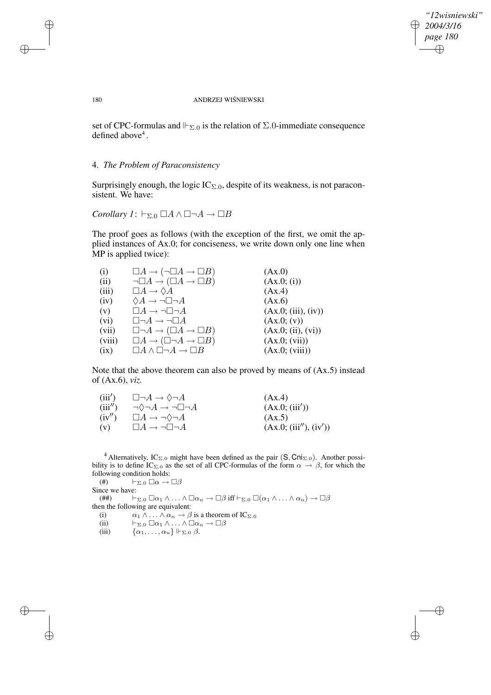✐

#### 180 ANDRZEJ WIŚNIEWSKI

set of CPC-formulas and  $\Vdash_{\Sigma,0}$  is the relation of  $\Sigma.0$ -immediate consequence defined above 4 .

## 4. *The Problem of Paraconsistency*

Surprisingly enough, the logic  $IC_{\Sigma,0}$ , despite of its weakness, is not paraconsistent. We have:

Corollary 
$$
l: \vdash_{\Sigma.0} \Box A \land \Box \neg A \rightarrow \Box B
$$

The proof goes as follows (with the exception of the first, we omit the applied instances of Ax.0; for conciseness, we write down only one line when MP is applied twice):

| (i)    | $\Box A \rightarrow (\neg \Box A \rightarrow \Box B)$ | (Ax.0)              |
|--------|-------------------------------------------------------|---------------------|
| (ii)   | $\neg \Box A \rightarrow (\Box A \rightarrow \Box B)$ | (Ax.0; (i))         |
| (iii)  | $\Box A \rightarrow \Diamond A$                       | (Ax.4)              |
| (iv)   | $\Diamond A \rightarrow \neg \Box \neg A$             | (Ax.6)              |
| (v)    | $\Box A \rightarrow \neg \Box \neg A$                 | (Ax.0; (iii), (iv)) |
| (vi)   | $\Box\neg A\to\neg\Box A$                             | (Ax.0; (v))         |
| (vii)  | $\Box\neg A \rightarrow (\Box A \rightarrow \Box B)$  | (Ax.0; (ii), (vi))  |
| (viii) | $\Box A \rightarrow (\Box \neg A \rightarrow \Box B)$ | (Ax.0; (vii))       |
| (ix)   | $\Box A \wedge \Box \neg A \rightarrow \Box B$        | (Ax.0; (viii))      |

Note that the above theorem can also be proved by means of (Ax.5) instead of (Ax.6), *viz.*

| (iii')  | $\Box\neg A \to \Diamond \neg A$            | (Ax.4)                 |
|---------|---------------------------------------------|------------------------|
| (iii'') | $\neg \Diamond \neg A \to \neg \Box \neg A$ | (Ax.0; (iii'))         |
| (iv'')  | $\Box A \rightarrow \neg \Diamond \neg A$   | (Ax.5)                 |
| (v)     | $\Box A \rightarrow \neg \Box \neg A$       | (Ax.0; (iii''), (iv')) |

<sup>4</sup> Alternatively, IC<sub>Σ.0</sub> might have been defined as the pair  $(S, Cni<sub>Σ.0</sub>)$ . Another possibility is to define IC<sub>Σ.0</sub> as the set of all CPC-formulas of the form  $\alpha \to \beta$ , for which the following condition holds:<br>
(#)  $\vdash_{\Sigma,0} \Box \alpha \rightarrow$ 

 $\vdash_{\Sigma.0} \Box \alpha \rightarrow \Box \beta$ Since we have: (##)  $\vdash_{\Sigma.0} \Box \alpha_1 \wedge \ldots \wedge \Box \alpha_n \to \Box \beta$  iff  $\vdash_{\Sigma.0} \Box (\alpha_1 \wedge \ldots \wedge \alpha_n) \to \Box \beta$ then the following are equivalent: (i)  $\alpha_1 \wedge \ldots \wedge \alpha_n \to \beta$  is a theorem of IC<sub>Σ.0</sub> (ii)  $\vdash_{\Sigma.0} \Box \alpha_1 \wedge \ldots \wedge \Box \alpha_n \rightarrow \Box \beta$ (iii)  $\{\alpha_1, \ldots, \alpha_n\} \Vdash_{\Sigma.0} \beta.$ 

✐

✐

✐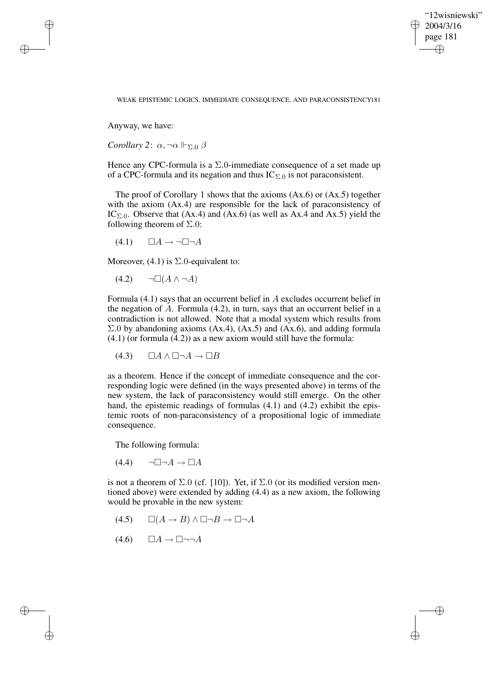✐

#### WEAK EPISTEMIC LOGICS, IMMEDIATE CONSEQUENCE, AND PARACONSISTENCY181

Anyway, we have:

✐

✐

✐

✐

*Corollary* 2:  $\alpha$ ,  $\neg \alpha \Vdash_{\Sigma, 0} \beta$ 

Hence any CPC-formula is a  $\Sigma$ .0-immediate consequence of a set made up of a CPC-formula and its negation and thus  $IC_{\Sigma,0}$  is not paraconsistent.

The proof of Corollary 1 shows that the axioms (Ax.6) or (Ax.5) together with the axiom (Ax.4) are responsible for the lack of paraconsistency of IC<sub> $\Sigma$ .0</sub>. Observe that (Ax.4) and (Ax.6) (as well as Ax.4 and Ax.5) yield the following theorem of  $\Sigma.0$ :

 $(4.1)$   $\Box A \rightarrow \neg \Box \neg A$ 

Moreover,  $(4.1)$  is  $\Sigma$ .0-equivalent to:

 $(4.2) \qquad \neg \Box(A \land \neg A)$ 

Formula (4.1) says that an occurrent belief in A excludes occurrent belief in the negation of  $A$ . Formula (4.2), in turn, says that an occurrent belief in a contradiction is not allowed. Note that a modal system which results from  $\Sigma.0$  by abandoning axioms (Ax.4), (Ax.5) and (Ax.6), and adding formula (4.1) (or formula (4.2)) as a new axiom would still have the formula:

 $(4.3)$   $\Box A \wedge \Box \neg A \rightarrow \Box B$ 

as a theorem. Hence if the concept of immediate consequence and the corresponding logic were defined (in the ways presented above) in terms of the new system, the lack of paraconsistency would still emerge. On the other hand, the epistemic readings of formulas (4.1) and (4.2) exhibit the epistemic roots of non-paraconsistency of a propositional logic of immediate consequence.

The following formula:

 $(4.4) \qquad \neg \Box \neg A \rightarrow \Box A$ 

is not a theorem of  $\Sigma.0$  (cf. [10]). Yet, if  $\Sigma.0$  (or its modified version mentioned above) were extended by adding (4.4) as a new axiom, the following would be provable in the new system:

- $(4.5)$   $\Box(A \rightarrow B) \land \Box \neg B \rightarrow \Box \neg A$
- $(4.6)$   $\Box A \rightarrow \Box \neg \neg A$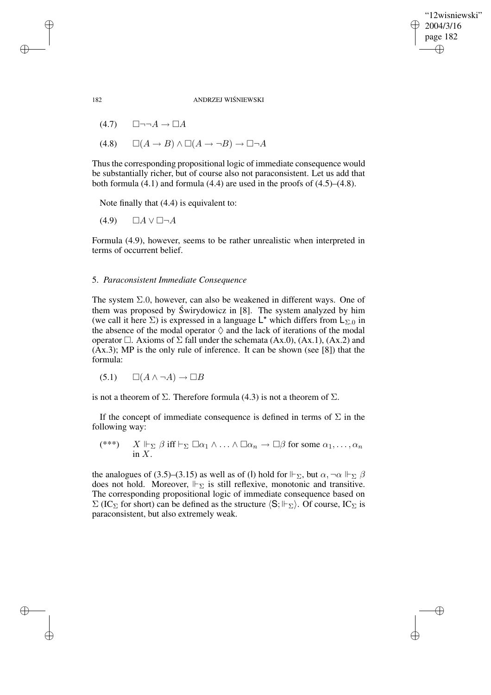✐

182 ANDRZEJ WIŚNIEWSKI

 $(4.7)$   $\square\neg\neg A \rightarrow \square A$ 

 $(4.8) \qquad \Box(A \rightarrow B) \wedge \Box(A \rightarrow \neg B) \rightarrow \Box \neg A$ 

Thus the corresponding propositional logic of immediate consequence would be substantially richer, but of course also not paraconsistent. Let us add that both formula  $(4.1)$  and formula  $(4.4)$  are used in the proofs of  $(4.5)$ – $(4.8)$ .

Note finally that (4.4) is equivalent to:

 $(4.9)$   $\Box A \vee \Box \neg A$ 

Formula (4.9), however, seems to be rather unrealistic when interpreted in terms of occurrent belief.

## 5. *Paraconsistent Immediate Consequence*

The system  $\Sigma.0$ , however, can also be weakened in different ways. One of them was proposed by Świrydowicz in  $[8]$ . The system analyzed by him (we call it here  $\Sigma$ ) is expressed in a language L<sup>\*</sup> which differs from L<sub> $\Sigma$ .0</sub> in the absence of the modal operator  $\Diamond$  and the lack of iterations of the modal operator  $\Box$ . Axioms of  $\Sigma$  fall under the schemata (Ax.0), (Ax.1), (Ax.2) and (Ax.3); MP is the only rule of inference. It can be shown (see [8]) that the formula:

$$
(5.1) \qquad \Box(A \land \neg A) \to \Box B
$$

is not a theorem of  $\Sigma$ . Therefore formula (4.3) is not a theorem of  $\Sigma$ .

If the concept of immediate consequence is defined in terms of  $\Sigma$  in the following way:

$$
(\ast \ast \ast) \quad X \Vdash_{\Sigma} \beta \text{ iff } \vdash_{\Sigma} \Box \alpha_1 \land \ldots \land \Box \alpha_n \to \Box \beta \text{ for some } \alpha_1, \ldots, \alpha_n
$$
  
in X.

the analogues of (3.5)–(3.15) as well as of (l) hold for  $\Vdash_{\Sigma}$ , but  $\alpha, \neg \alpha \Vdash_{\Sigma} \beta$ does not hold. Moreover,  $\Vdash_{\Sigma}$  is still reflexive, monotonic and transitive. The corresponding propositional logic of immediate consequence based on  $\Sigma$  (IC<sub> $\Sigma$ </sub> for short) can be defined as the structure  $\langle S; \Vdash_{\Sigma} \rangle$ . Of course, IC<sub> $\Sigma$ </sub> is paraconsistent, but also extremely weak.

✐

✐

✐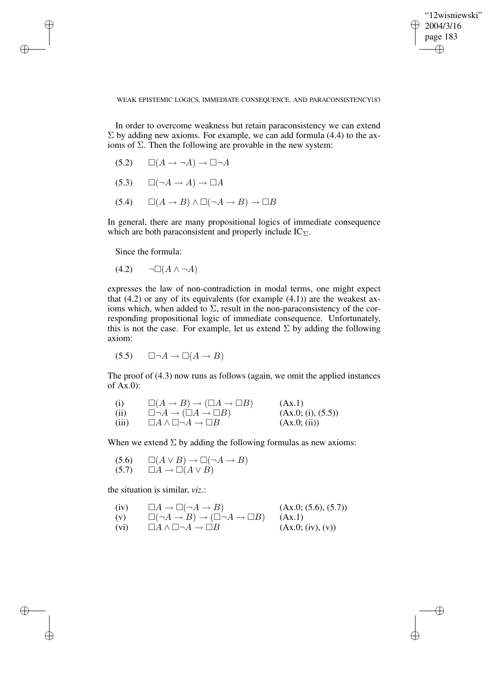✐

#### WEAK EPISTEMIC LOGICS, IMMEDIATE CONSEQUENCE, AND PARACONSISTENCY183

In order to overcome weakness but retain paraconsistency we can extend  $\Sigma$  by adding new axioms. For example, we can add formula (4.4) to the axioms of  $\Sigma$ . Then the following are provable in the new system:

- $(5.2) \qquad \Box(A \rightarrow \neg A) \rightarrow \Box \neg A$
- $(5.3) \qquad \Box(\neg A \rightarrow A) \rightarrow \Box A$
- $(5.4)$   $\Box(A \rightarrow B) \land \Box(\neg A \rightarrow B) \rightarrow \Box B$

In general, there are many propositional logics of immediate consequence which are both paraconsistent and properly include  $IC_{\Sigma}$ .

Since the formula:

✐

✐

✐

✐

$$
(4.2) \qquad \neg \Box(A \land \neg A)
$$

expresses the law of non-contradiction in modal terms, one might expect that  $(4.2)$  or any of its equivalents (for example  $(4.1)$ ) are the weakest axioms which, when added to  $\Sigma$ , result in the non-paraconsistency of the corresponding propositional logic of immediate consequence. Unfortunately, this is not the case. For example, let us extend  $\Sigma$  by adding the following axiom:

 $(5.5)$   $\Box \neg A \rightarrow \Box (A \rightarrow B)$ 

The proof of (4.3) now runs as follows (again, we omit the applied instances of Ax.0):

| (i)   | $\Box(A \to B) \to (\Box A \to \Box B)$            | (Ax.1)             |
|-------|----------------------------------------------------|--------------------|
| (ii)  | $\Box\neg A\rightarrow (\Box A\rightarrow \Box B)$ | (Ax.0; (i), (5.5)) |
| (iii) | $\Box A \wedge \Box \neg A \rightarrow \Box B$     | (Ax.0; (ii))       |

When we extend  $\Sigma$  by adding the following formulas as new axioms:

(5.6) 
$$
\Box(A \lor B) \to \Box(\neg A \to B)
$$
  
(5.7) 
$$
\Box A \to \Box(A \lor B)
$$

the situation is similar, *viz.*:

(iv) 
$$
\Box A \rightarrow \Box(\neg A \rightarrow B)
$$
 (Ax.0; (5.6), (5.7))  
\n(v)  $\Box(\neg A \rightarrow B) \rightarrow (\Box \neg A \rightarrow \Box B)$  (Ax.1)

(vi)  $\Box A \land \Box \neg A \rightarrow \Box B$  (Ax.0; (iv), (v))